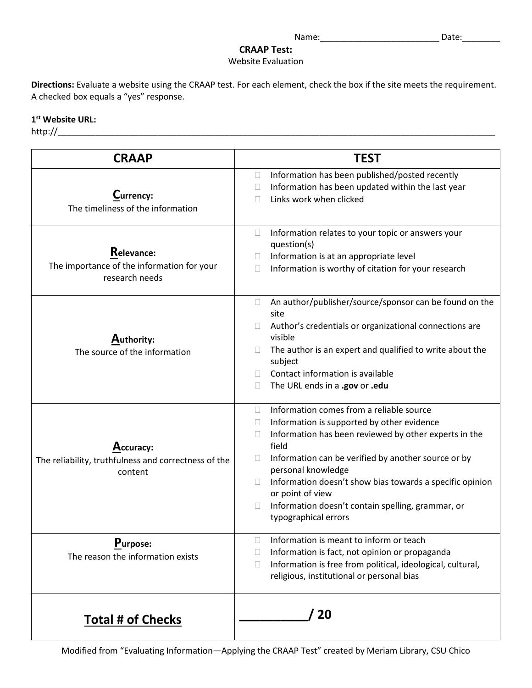## **CRAAP Test:**

Website Evaluation

**Directions:** Evaluate a website using the CRAAP test. For each element, check the box if the site meets the requirement. A checked box equals a "yes" response.

## **1st Website URL:**

http://\_\_\_\_\_\_\_\_\_\_\_\_\_\_\_\_\_\_\_\_\_\_\_\_\_\_\_\_\_\_\_\_\_\_\_\_\_\_\_\_\_\_\_\_\_\_\_\_\_\_\_\_\_\_\_\_\_\_\_\_\_\_\_\_\_\_\_\_\_\_\_\_\_\_\_\_\_\_\_\_\_\_\_\_\_\_\_\_\_\_\_\_

| <b>CRAAP</b>                                                                 | <b>TEST</b>                                                                                                                                                                                                                                                                                                                                                                                                                                           |
|------------------------------------------------------------------------------|-------------------------------------------------------------------------------------------------------------------------------------------------------------------------------------------------------------------------------------------------------------------------------------------------------------------------------------------------------------------------------------------------------------------------------------------------------|
| Currency:<br>The timeliness of the information                               | Information has been published/posted recently<br>$\Box$<br>Information has been updated within the last year<br>П<br>Links work when clicked                                                                                                                                                                                                                                                                                                         |
| Relevance:<br>The importance of the information for your<br>research needs   | Information relates to your topic or answers your<br>$\Box$<br>question(s)<br>Information is at an appropriate level<br>Information is worthy of citation for your research<br>П                                                                                                                                                                                                                                                                      |
| Authority:<br>The source of the information                                  | An author/publisher/source/sponsor can be found on the<br>$\Box$<br>site<br>Author's credentials or organizational connections are<br>$\mathbf{L}$<br>visible<br>The author is an expert and qualified to write about the<br>П<br>subject<br>Contact information is available<br>$\mathbf{L}$<br>The URL ends in a .gov or .edu<br>$\Box$                                                                                                             |
| Accuracy:<br>The reliability, truthfulness and correctness of the<br>content | Information comes from a reliable source<br>П<br>Information is supported by other evidence<br>$\Box$<br>Information has been reviewed by other experts in the<br>П<br>field<br>Information can be verified by another source or by<br>П<br>personal knowledge<br>Information doesn't show bias towards a specific opinion<br>$\mathbf{L}$<br>or point of view<br>Information doesn't contain spelling, grammar, or<br>$\Box$<br>typographical errors |
| Purpose:<br>The reason the information exists                                | Information is meant to inform or teach<br>П<br>Information is fact, not opinion or propaganda<br>Ш<br>Information is free from political, ideological, cultural,<br>religious, institutional or personal bias                                                                                                                                                                                                                                        |
| <b>Total # of Checks</b>                                                     | 20                                                                                                                                                                                                                                                                                                                                                                                                                                                    |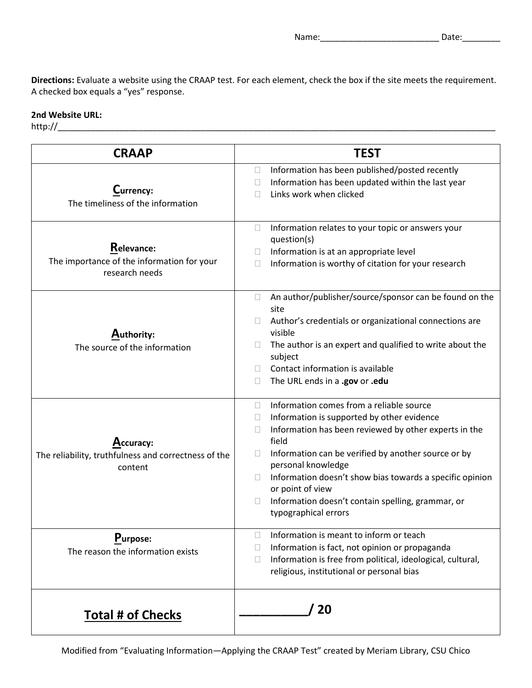**Directions:** Evaluate a website using the CRAAP test. For each element, check the box if the site meets the requirement. A checked box equals a "yes" response.

## **2nd Website URL:**

| <b>CRAAP</b>                                                                 | <b>TEST</b>                                                                                                                                                                                                                                                                                                                                                                                                                                                  |
|------------------------------------------------------------------------------|--------------------------------------------------------------------------------------------------------------------------------------------------------------------------------------------------------------------------------------------------------------------------------------------------------------------------------------------------------------------------------------------------------------------------------------------------------------|
| Currency:<br>The timeliness of the information                               | Information has been published/posted recently<br>$\Box$<br>Information has been updated within the last year<br>$\Box$<br>Links work when clicked<br>$\Box$                                                                                                                                                                                                                                                                                                 |
| Relevance:<br>The importance of the information for your<br>research needs   | Information relates to your topic or answers your<br>$\Box$<br>question(s)<br>Information is at an appropriate level<br>Ш<br>Information is worthy of citation for your research<br>П                                                                                                                                                                                                                                                                        |
| Authority:<br>The source of the information                                  | An author/publisher/source/sponsor can be found on the<br>$\Box$<br>site<br>Author's credentials or organizational connections are<br>visible<br>The author is an expert and qualified to write about the<br>subject<br>Contact information is available<br>The URL ends in a .gov or .edu                                                                                                                                                                   |
| Accuracy:<br>The reliability, truthfulness and correctness of the<br>content | Information comes from a reliable source<br>$\Box$<br>Information is supported by other evidence<br>$\Box$<br>Information has been reviewed by other experts in the<br>$\Box$<br>field<br>Information can be verified by another source or by<br>$\Box$<br>personal knowledge<br>Information doesn't show bias towards a specific opinion<br>$\mathbb{R}^n$<br>or point of view<br>Information doesn't contain spelling, grammar, or<br>typographical errors |
| Purpose:<br>The reason the information exists                                | Information is meant to inform or teach<br>$\Box$<br>Information is fact, not opinion or propaganda<br>$\mathbb{R}^n$<br>Information is free from political, ideological, cultural,<br>$\Box$<br>religious, institutional or personal bias                                                                                                                                                                                                                   |
| <b>Total # of Checks</b>                                                     | 20                                                                                                                                                                                                                                                                                                                                                                                                                                                           |